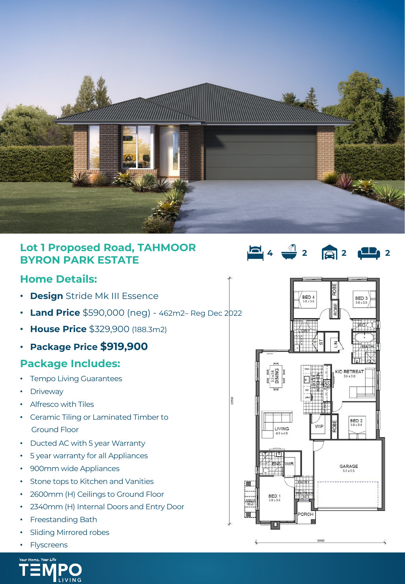

9950

## **Lot 1 Proposed Road, TAHMOOR BYRON PARK ESTATE**

#### **Home Details:**

- **Design** Stride Mk III Essence
- **Land Price** \$590,000 (neg) 462m2– Reg Dec 2022
- **House Price** \$329,900 (188.3m2)
- **Package Price \$919,900**

### **Package Includes:**

- **Tempo Living Guarantees**
- **Driveway**
- Alfresco with Tiles
- Ceramic Tiling or Laminated Timber to Ground Floor
- Ducted AC with 5 year Warranty
- 5 year warranty for all Appliances
- 900mm wide Appliances
- Stone tops to Kitchen and Vanities
- 2600mm (H) Ceilings to Ground Floor
- 2340mm (H) Internal Doors and Entry Door
- Freestanding Bath
- Sliding Mirrored robes
- **Flyscreens**